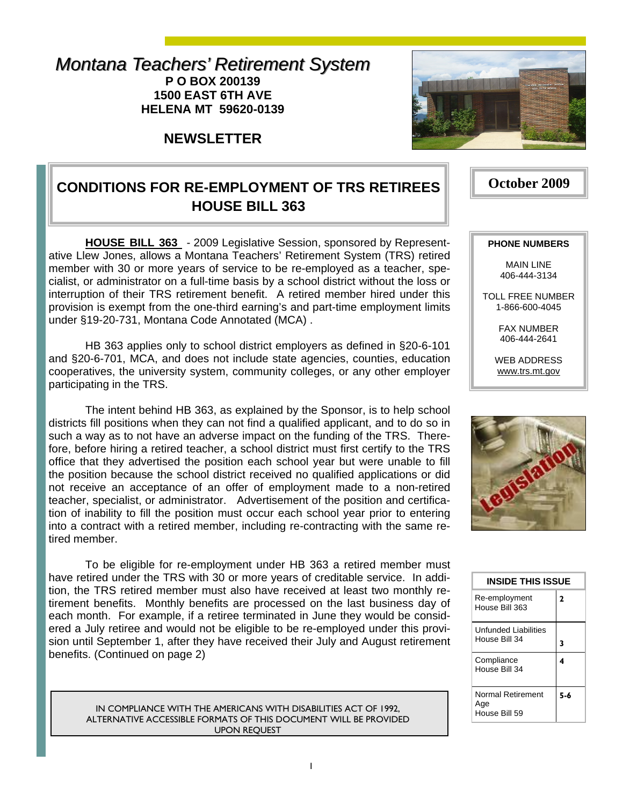#### *Montana Teachers' Retirement System Montana Teachers' Retirement System* **P O BOX 200139 1500 EAST 6TH AVE HELENA MT 59620-0139**

**NEWSLETTER** 



# **CONDITIONS FOR RE-EMPLOYMENT OF TRS RETIREES HOUSE BILL 363**

**HOUSE BILL 363** - 2009 Legislative Session, sponsored by Representative Llew Jones, allows a Montana Teachers' Retirement System (TRS) retired member with 30 or more years of service to be re-employed as a teacher, specialist, or administrator on a full-time basis by a school district without the loss or interruption of their TRS retirement benefit. A retired member hired under this provision is exempt from the one-third earning's and part-time employment limits under §19-20-731, Montana Code Annotated (MCA) .

 HB 363 applies only to school district employers as defined in §20-6-101 and §20-6-701, MCA, and does not include state agencies, counties, education cooperatives, the university system, community colleges, or any other employer participating in the TRS.

 The intent behind HB 363, as explained by the Sponsor, is to help school districts fill positions when they can not find a qualified applicant, and to do so in such a way as to not have an adverse impact on the funding of the TRS. Therefore, before hiring a retired teacher, a school district must first certify to the TRS office that they advertised the position each school year but were unable to fill the position because the school district received no qualified applications or did not receive an acceptance of an offer of employment made to a non-retired teacher, specialist, or administrator. Advertisement of the position and certification of inability to fill the position must occur each school year prior to entering into a contract with a retired member, including re-contracting with the same retired member.

 To be eligible for re-employment under HB 363 a retired member must have retired under the TRS with 30 or more years of creditable service. In addition, the TRS retired member must also have received at least two monthly retirement benefits. Monthly benefits are processed on the last business day of each month. For example, if a retiree terminated in June they would be considered a July retiree and would not be eligible to be re-employed under this provision until September 1, after they have received their July and August retirement benefits. (Continued on page 2)

IN COMPLIANCE WITH THE AMERICANS WITH DISABILITIES ACT OF 1992, ALTERNATIVE ACCESSIBLE FORMATS OF THIS DOCUMENT WILL BE PROVIDED UPON REQUEST

#### **PHONE NUMBERS**

**October 2009** 

MAIN LINE 406-444-3134

TOLL FREE NUMBER 1-866-600-4045

> FAX NUMBER 406-444-2641

WEB ADDRESS www.trs.mt.gov



| <b>INSIDE THIS ISSUE</b>                     |                |  |  |  |
|----------------------------------------------|----------------|--|--|--|
| Re-employment<br>House Bill 363              | $\overline{2}$ |  |  |  |
| <b>Unfunded Liabilities</b><br>House Bill 34 | 3              |  |  |  |
| Compliance<br>House Bill 34                  | 4              |  |  |  |
| Normal Retirement<br>Age<br>House Bill 59    | 5-6            |  |  |  |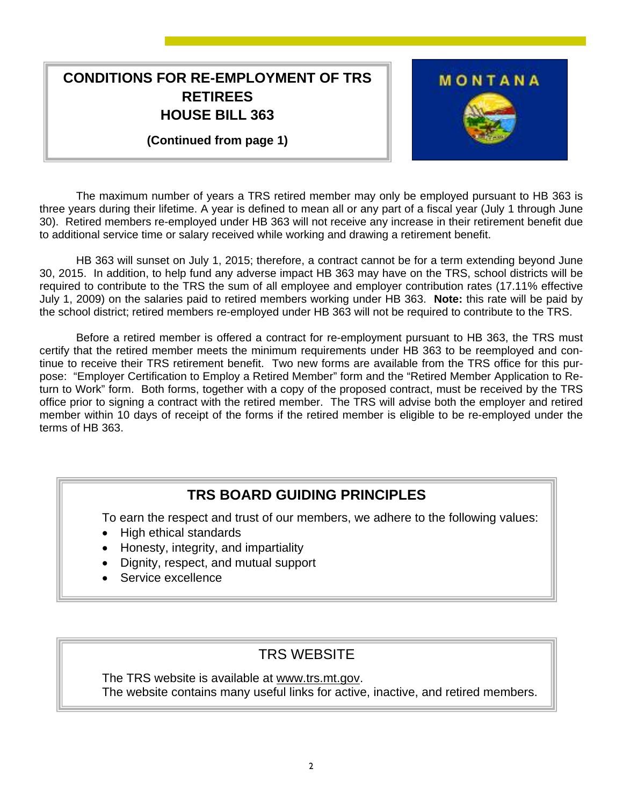## **CONDITIONS FOR RE-EMPLOYMENT OF TRS RETIREES HOUSE BILL 363**

**(Continued from page 1)** 



 The maximum number of years a TRS retired member may only be employed pursuant to HB 363 is three years during their lifetime. A year is defined to mean all or any part of a fiscal year (July 1 through June 30). Retired members re-employed under HB 363 will not receive any increase in their retirement benefit due to additional service time or salary received while working and drawing a retirement benefit.

 HB 363 will sunset on July 1, 2015; therefore, a contract cannot be for a term extending beyond June 30, 2015. In addition, to help fund any adverse impact HB 363 may have on the TRS, school districts will be required to contribute to the TRS the sum of all employee and employer contribution rates (17.11% effective July 1, 2009) on the salaries paid to retired members working under HB 363. **Note:** this rate will be paid by the school district; retired members re-employed under HB 363 will not be required to contribute to the TRS.

 Before a retired member is offered a contract for re-employment pursuant to HB 363, the TRS must certify that the retired member meets the minimum requirements under HB 363 to be reemployed and continue to receive their TRS retirement benefit. Two new forms are available from the TRS office for this purpose: "Employer Certification to Employ a Retired Member" form and the "Retired Member Application to Return to Work" form. Both forms, together with a copy of the proposed contract, must be received by the TRS office prior to signing a contract with the retired member. The TRS will advise both the employer and retired member within 10 days of receipt of the forms if the retired member is eligible to be re-employed under the terms of HB 363.

### **TRS BOARD GUIDING PRINCIPLES**

To earn the respect and trust of our members, we adhere to the following values:

- High ethical standards
- Honesty, integrity, and impartiality
- Dignity, respect, and mutual support
- Service excellence

#### TRS WEBSITE

 The TRS website is available at www.trs.mt.gov. The website contains many useful links for active, inactive, and retired members.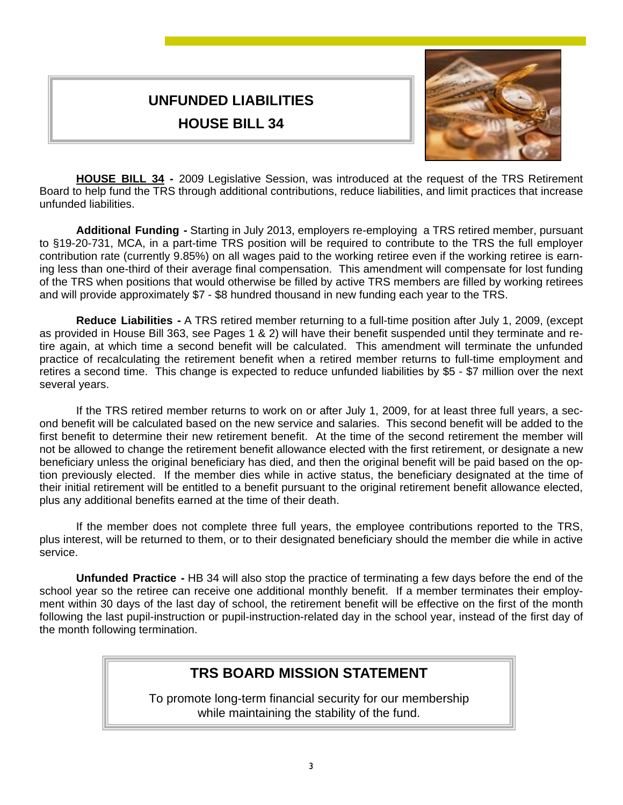# **UNFUNDED LIABILITIES HOUSE BILL 34**



 **HOUSE BILL 34 -** 2009 Legislative Session, was introduced at the request of the TRS Retirement Board to help fund the TRS through additional contributions, reduce liabilities, and limit practices that increase unfunded liabilities.

 **Additional Funding -** Starting in July 2013, employers re-employing a TRS retired member, pursuant to §19-20-731, MCA, in a part-time TRS position will be required to contribute to the TRS the full employer contribution rate (currently 9.85%) on all wages paid to the working retiree even if the working retiree is earning less than one-third of their average final compensation. This amendment will compensate for lost funding of the TRS when positions that would otherwise be filled by active TRS members are filled by working retirees and will provide approximately \$7 - \$8 hundred thousand in new funding each year to the TRS.

 **Reduce Liabilities -** A TRS retired member returning to a full-time position after July 1, 2009, (except as provided in House Bill 363, see Pages 1 & 2) will have their benefit suspended until they terminate and retire again, at which time a second benefit will be calculated. This amendment will terminate the unfunded practice of recalculating the retirement benefit when a retired member returns to full-time employment and retires a second time. This change is expected to reduce unfunded liabilities by \$5 - \$7 million over the next several years.

 If the TRS retired member returns to work on or after July 1, 2009, for at least three full years, a second benefit will be calculated based on the new service and salaries. This second benefit will be added to the first benefit to determine their new retirement benefit. At the time of the second retirement the member will not be allowed to change the retirement benefit allowance elected with the first retirement, or designate a new beneficiary unless the original beneficiary has died, and then the original benefit will be paid based on the option previously elected. If the member dies while in active status, the beneficiary designated at the time of their initial retirement will be entitled to a benefit pursuant to the original retirement benefit allowance elected, plus any additional benefits earned at the time of their death.

 If the member does not complete three full years, the employee contributions reported to the TRS, plus interest, will be returned to them, or to their designated beneficiary should the member die while in active service.

 **Unfunded Practice -** HB 34 will also stop the practice of terminating a few days before the end of the school year so the retiree can receive one additional monthly benefit. If a member terminates their employment within 30 days of the last day of school, the retirement benefit will be effective on the first of the month following the last pupil-instruction or pupil-instruction-related day in the school year, instead of the first day of the month following termination.

### **TRS BOARD MISSION STATEMENT**

To promote long-term financial security for our membership while maintaining the stability of the fund.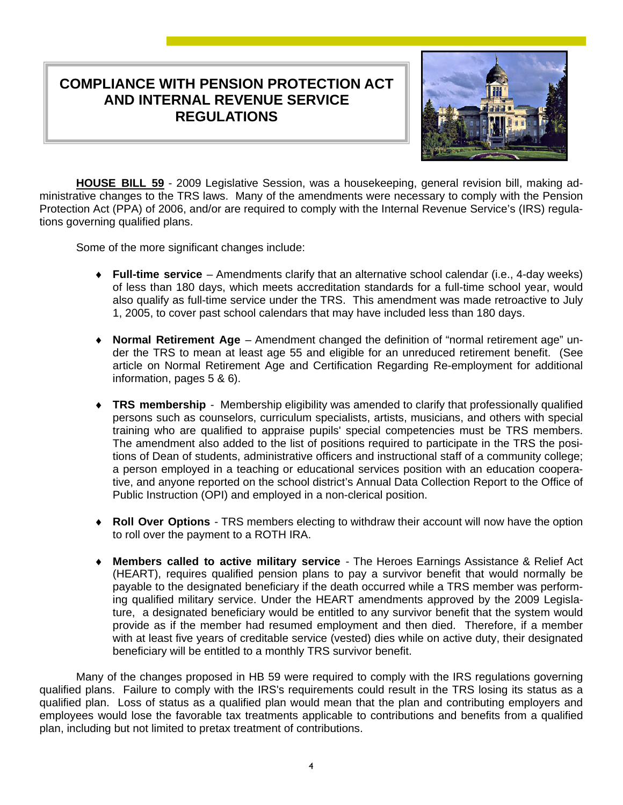### **COMPLIANCE WITH PENSION PROTECTION ACT AND INTERNAL REVENUE SERVICE REGULATIONS**



 **HOUSE BILL 59** - 2009 Legislative Session, was a housekeeping, general revision bill, making administrative changes to the TRS laws. Many of the amendments were necessary to comply with the Pension Protection Act (PPA) of 2006, and/or are required to comply with the Internal Revenue Service's (IRS) regulations governing qualified plans.

Some of the more significant changes include:

- ♦ **Full-time service**  Amendments clarify that an alternative school calendar (i.e., 4-day weeks) of less than 180 days, which meets accreditation standards for a full-time school year, would also qualify as full-time service under the TRS. This amendment was made retroactive to July 1, 2005, to cover past school calendars that may have included less than 180 days.
- ♦ **Normal Retirement Age**  Amendment changed the definition of "normal retirement age" under the TRS to mean at least age 55 and eligible for an unreduced retirement benefit. (See article on Normal Retirement Age and Certification Regarding Re-employment for additional information, pages 5 & 6).
- ♦ **TRS membership**  Membership eligibility was amended to clarify that professionally qualified persons such as counselors, curriculum specialists, artists, musicians, and others with special training who are qualified to appraise pupils' special competencies must be TRS members. The amendment also added to the list of positions required to participate in the TRS the positions of Dean of students, administrative officers and instructional staff of a community college; a person employed in a teaching or educational services position with an education cooperative, and anyone reported on the school district's Annual Data Collection Report to the Office of Public Instruction (OPI) and employed in a non-clerical position.
- **Roll Over Options** TRS members electing to withdraw their account will now have the option to roll over the payment to a ROTH IRA.
- **Members called to active military service** The Heroes Earnings Assistance & Relief Act (HEART), requires qualified pension plans to pay a survivor benefit that would normally be payable to the designated beneficiary if the death occurred while a TRS member was performing qualified military service. Under the HEART amendments approved by the 2009 Legislature, a designated beneficiary would be entitled to any survivor benefit that the system would provide as if the member had resumed employment and then died. Therefore, if a member with at least five years of creditable service (vested) dies while on active duty, their designated beneficiary will be entitled to a monthly TRS survivor benefit.

 Many of the changes proposed in HB 59 were required to comply with the IRS regulations governing qualified plans. Failure to comply with the IRS's requirements could result in the TRS losing its status as a qualified plan. Loss of status as a qualified plan would mean that the plan and contributing employers and employees would lose the favorable tax treatments applicable to contributions and benefits from a qualified plan, including but not limited to pretax treatment of contributions.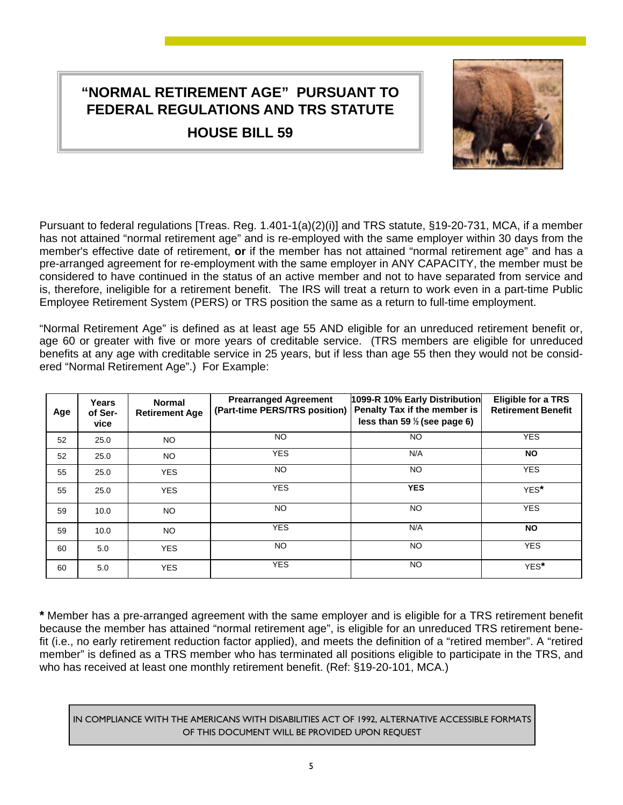# **"NORMAL RETIREMENT AGE" PURSUANT TO FEDERAL REGULATIONS AND TRS STATUTE**

**HOUSE BILL 59**



Pursuant to federal regulations [Treas. Reg. 1.401-1(a)(2)(i)] and TRS statute, §19-20-731, MCA, if a member has not attained "normal retirement age" and is re-employed with the same employer within 30 days from the member's effective date of retirement, **or** if the member has not attained "normal retirement age" and has a pre-arranged agreement for re-employment with the same employer in ANY CAPACITY, the member must be considered to have continued in the status of an active member and not to have separated from service and is, therefore, ineligible for a retirement benefit. The IRS will treat a return to work even in a part-time Public Employee Retirement System (PERS) or TRS position the same as a return to full-time employment.

"Normal Retirement Age" is defined as at least age 55 AND eligible for an unreduced retirement benefit or, age 60 or greater with five or more years of creditable service. (TRS members are eligible for unreduced benefits at any age with creditable service in 25 years, but if less than age 55 then they would not be considered "Normal Retirement Age".) For Example:

| Age | Years<br>of Ser-<br>vice | <b>Normal</b><br><b>Retirement Age</b> | <b>Prearranged Agreement</b><br>(Part-time PERS/TRS position) | 1099-R 10% Early Distribution<br>Penalty Tax if the member is<br>less than 59 $\frac{1}{2}$ (see page 6) | <b>Eligible for a TRS</b><br><b>Retirement Benefit</b> |
|-----|--------------------------|----------------------------------------|---------------------------------------------------------------|----------------------------------------------------------------------------------------------------------|--------------------------------------------------------|
| 52  | 25.0                     | NO.                                    | <b>NO</b>                                                     | NO.                                                                                                      | <b>YES</b>                                             |
| 52  | 25.0                     | NO.                                    | <b>YES</b>                                                    | N/A                                                                                                      | <b>NO</b>                                              |
| 55  | 25.0                     | <b>YES</b>                             | NO.                                                           | NO.                                                                                                      | <b>YES</b>                                             |
| 55  | 25.0                     | <b>YES</b>                             | <b>YES</b>                                                    | <b>YES</b>                                                                                               | YES*                                                   |
| 59  | 10.0                     | NO.                                    | NO.                                                           | NO.                                                                                                      | <b>YES</b>                                             |
| 59  | 10.0                     | NO.                                    | <b>YES</b>                                                    | N/A                                                                                                      | <b>NO</b>                                              |
| 60  | 5.0                      | <b>YES</b>                             | NO.                                                           | NO.                                                                                                      | <b>YES</b>                                             |
| 60  | 5.0                      | <b>YES</b>                             | <b>YES</b>                                                    | NO.                                                                                                      | YES*                                                   |

**\*** Member has a pre-arranged agreement with the same employer and is eligible for a TRS retirement benefit because the member has attained "normal retirement age", is eligible for an unreduced TRS retirement benefit (i.e., no early retirement reduction factor applied), and meets the definition of a "retired member". A "retired member" is defined as a TRS member who has terminated all positions eligible to participate in the TRS, and who has received at least one monthly retirement benefit. (Ref: §19-20-101, MCA.)

IN COMPLIANCE WITH THE AMERICANS WITH DISABILITIES ACT OF 1992, ALTERNATIVE ACCESSIBLE FORMATS OF THIS DOCUMENT WILL BE PROVIDED UPON REQUEST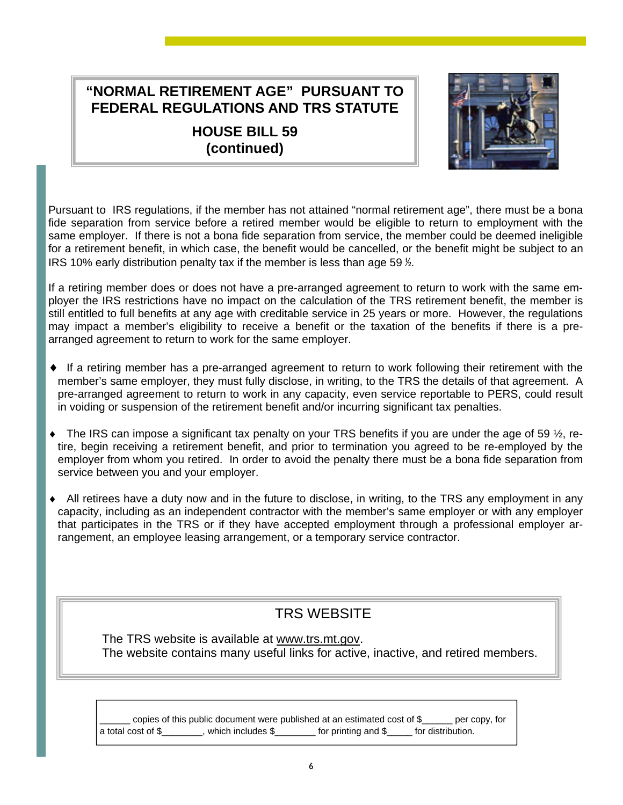# **"NORMAL RETIREMENT AGE" PURSUANT TO FEDERAL REGULATIONS AND TRS STATUTE**

**HOUSE BILL 59 (continued)** 



Pursuant to IRS regulations, if the member has not attained "normal retirement age", there must be a bona fide separation from service before a retired member would be eligible to return to employment with the same employer. If there is not a bona fide separation from service, the member could be deemed ineligible for a retirement benefit, in which case, the benefit would be cancelled, or the benefit might be subject to an IRS 10% early distribution penalty tax if the member is less than age 59 ½.

If a retiring member does or does not have a pre-arranged agreement to return to work with the same employer the IRS restrictions have no impact on the calculation of the TRS retirement benefit, the member is still entitled to full benefits at any age with creditable service in 25 years or more. However, the regulations may impact a member's eligibility to receive a benefit or the taxation of the benefits if there is a prearranged agreement to return to work for the same employer.

- ♦ If a retiring member has a pre-arranged agreement to return to work following their retirement with the member's same employer, they must fully disclose, in writing, to the TRS the details of that agreement. A pre-arranged agreement to return to work in any capacity, even service reportable to PERS, could result in voiding or suspension of the retirement benefit and/or incurring significant tax penalties.
- $\bullet$  The IRS can impose a significant tax penalty on your TRS benefits if you are under the age of 59  $\frac{1}{2}$ , retire, begin receiving a retirement benefit, and prior to termination you agreed to be re-employed by the employer from whom you retired. In order to avoid the penalty there must be a bona fide separation from service between you and your employer.
- ♦ All retirees have a duty now and in the future to disclose, in writing, to the TRS any employment in any capacity, including as an independent contractor with the member's same employer or with any employer that participates in the TRS or if they have accepted employment through a professional employer arrangement, an employee leasing arrangement, or a temporary service contractor.

# TRS WEBSITE

 The TRS website is available at www.trs.mt.gov. The website contains many useful links for active, inactive, and retired members.

copies of this public document were published at an estimated cost of \$\_\_\_\_\_ per copy, for a total cost of \$\_\_\_\_\_\_\_\_, which includes \$\_\_\_\_\_\_\_\_ for printing and \$\_\_\_\_\_ for distribution.